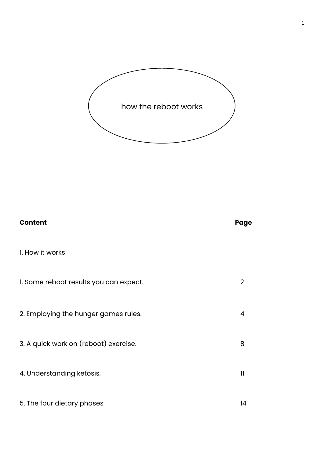

1

| <b>Content</b>                         | Page            |
|----------------------------------------|-----------------|
| I. How it works                        |                 |
| 1. Some reboot results you can expect. | 2               |
| 2. Employing the hunger games rules.   | 4               |
| 3. A quick work on (reboot) exercise.  | 8               |
| 4. Understanding ketosis.              | $\overline{11}$ |
| 5. The four dietary phases             | 14              |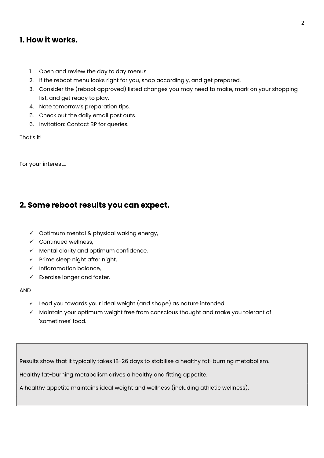# 1. How it works.

- 1. Open and review the day to day menus.
- 2. If the reboot menu looks right for you, shop accordingly, and get prepared.
- 3. Consider the (reboot approved) listed changes you may need to make, mark on your shopping list, and get ready to play.
- 4. Note tomorrow's preparation tips.
- 5. Check out the daily email post outs.
- 6. Invitation: Contact BP for queries.

That's it!

For your interest…

# 2. Some reboot results you can expect.

- $\checkmark$  Optimum mental & physical waking energy,
- $\checkmark$  Continued wellness.
- $\checkmark$  Mental clarity and optimum confidence,
- $\checkmark$  Prime sleep night after night,
- $\checkmark$  Inflammation balance,
- $\checkmark$  Exercise longer and faster.

#### AND

- $\checkmark$  Lead you towards your ideal weight (and shape) as nature intended.
- $\checkmark$  Maintain your optimum weight free from conscious thought and make you tolerant of 'sometimes' food.

Results show that it typically takes 18-26 days to stabilise a healthy fat-burning metabolism.

Healthy fat-burning metabolism drives a healthy and fitting appetite.

A healthy appetite maintains ideal weight and wellness (including athletic wellness).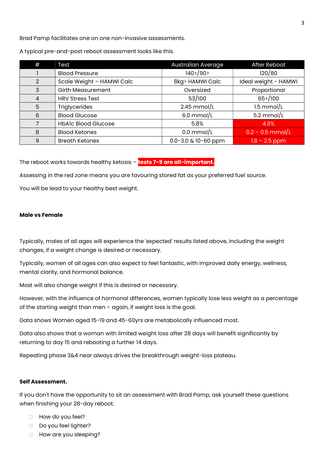Brad Pamp facilitates one on one non-invasive assessments.

| #              | Test                       | Australian Average          | After Reboot         |
|----------------|----------------------------|-----------------------------|----------------------|
|                | <b>Blood Pressure</b>      | $140$ > $/90$ >             | 120/80               |
| 2              | Scale Weight - HAMWI Calc  | 8kg> HAMWI Calc             | Ideal weight - HAMWI |
| 3              | <b>Girth Measurement</b>   | Oversized                   | Proportional         |
| $\overline{4}$ | <b>HRV Stress Test</b>     | 53/100                      | 65>/100              |
| 5              | <b>Triglycerides</b>       | $2.45$ mmol/L               | $1.5$ mmol/L         |
| 6              | <b>Blood Glucose</b>       | $6.0$ mmol/L                | $5.2$ mmol/L         |
| 7              | <b>HbAlc Blood Glucose</b> | 5.8%                        | 4.9%                 |
| 8              | <b>Blood Ketones</b>       | $0.0$ mmol/L                | $0.2 - 0.5$ mmol/L   |
| 9              | <b>Breath Ketones</b>      | $0.0 - 3.0$ & $10 - 60$ ppm | $1.8 - 2.5$ ppm      |

A typical pre-and-post reboot assessment looks like this.

The reboot works towards healthy ketosis - tests 7-9 are all-important.

Assessing in the red zone means you are favouring stored fat as your preferred fuel source.

You will be lead to your healthy best weight.

#### Male vs Female

Typically, males of all ages will experience the 'expected' results listed above, including the weight changes, if a weight change is desired or necessary.

Typically, women of all ages can also expect to feel fantastic, with improved daily energy, wellness, mental clarity, and hormonal balance.

Most will also change weight if this is desired or necessary.

However, with the influence of hormonal differences, women typically lose less weight as a percentage of the starting weight than men – again, if weight loss is the goal.

Data shows Women aged 15-19 and 45-60yrs are metabolically influenced most.

Data also shows that a woman with limited weight loss after 28 days will benefit significantly by returning to day 15 and rebooting a further 14 days.

Repeating phase 3&4 near always drives the breakthrough weight-loss plateau.

#### Self Assessment.

If you don't have the opportunity to sit an assessment with Brad Pamp, ask yourself these questions when finishing your 28-day reboot.

- **How do you feel?**
- Do you feel lighter?
- **How are you sleeping?**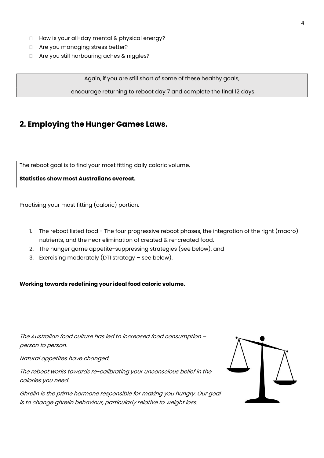- $\Box$  How is your all-day mental & physical energy?
- □ Are you managing stress better?
- □ Are you still harbouring aches & niggles?

Again, if you are still short of some of these healthy goals,

I encourage returning to reboot day 7 and complete the final 12 days.

# 2. Employing the Hunger Games Laws.

The reboot goal is to find your most fitting daily caloric volume.

#### Statistics show most Australians overeat.

Practising your most fitting (caloric) portion.

- 1. The reboot listed food The four progressive reboot phases, the integration of the right (macro) nutrients, and the near elimination of created & re-created food.
- 2. The hunger game appetite-suppressing strategies (see below), and
- 3. Exercising moderately (DTI strategy see below).

Working towards redefining your ideal food caloric volume.

The Australian food culture has led to increased food consumption – person to person.

Natural appetites have changed.

The reboot works towards re-calibrating your unconscious belief in the calories you need.

Ghrelin is the prime hormone responsible for making you hungry. Our goal is to change ghrelin behaviour, particularly relative to weight loss.

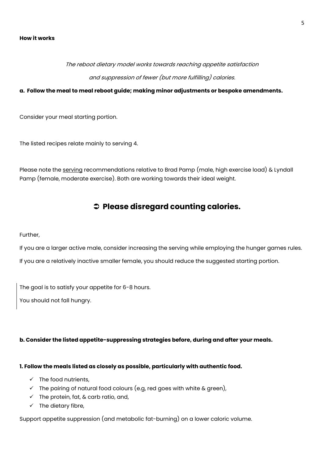#### How it works

# The reboot dietary model works towards reaching appetite satisfaction and suppression of fewer (but more fulfilling) calories.

#### a. Follow the meal to meal reboot guide; making minor adjustments or bespoke amendments.

Consider your meal starting portion.

The listed recipes relate mainly to serving 4.

Please note the serving recommendations relative to Brad Pamp (male, high exercise load) & Lyndall Pamp (female, moderate exercise). Both are working towards their ideal weight.

# $\supset$  Please disregard counting calories.

#### Further,

If you are a larger active male, consider increasing the serving while employing the hunger games rules. If you are a relatively inactive smaller female, you should reduce the suggested starting portion.

The goal is to satisfy your appetite for 6-8 hours.

You should not fall hungry.

#### b. Consider the listed appetite-suppressing strategies before, during and after your meals.

#### 1. Follow the meals listed as closely as possible, particularly with authentic food.

- $\checkmark$  The food nutrients,
- $\checkmark$  The pairing of natural food colours (e.g, red goes with white & green),
- $\checkmark$  The protein, fat, & carb ratio, and,
- $\checkmark$  The dietary fibre,

Support appetite suppression (and metabolic fat-burning) on a lower caloric volume.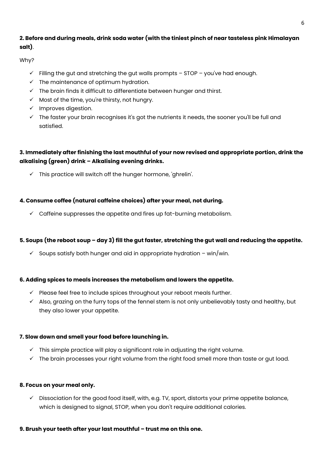# 2. Before and during meals, drink soda water (with the tiniest pinch of near tasteless pink Himalayan salt).

Why?

- $\checkmark$  Filling the gut and stretching the gut walls prompts STOP you've had enough.
- $\checkmark$  The maintenance of optimum hydration.
- $\checkmark$  The brain finds it difficult to differentiate between hunger and thirst.
- $\checkmark$  Most of the time, you're thirsty, not hungry.
- $\checkmark$  Improves digestion.
- $\checkmark$  The faster your brain recognises it's got the nutrients it needs, the sooner you'll be full and satisfied.

# 3. Immediately after finishing the last mouthful of your now revised and appropriate portion, drink the alkalising (green) drink – Alkalising evening drinks.

 $\checkmark$  This practice will switch off the hunger hormone, 'ghrelin'.

# 4. Consume coffee (natural caffeine choices) after your meal, not during.

 $\checkmark$  Caffeine suppresses the appetite and fires up fat-burning metabolism.

## 5. Soups (the reboot soup – day 3) fill the gut faster, stretching the gut wall and reducing the appetite.

 $\checkmark$  Soups satisfy both hunger and aid in appropriate hydration – win/win.

## 6. Adding spices to meals increases the metabolism and lowers the appetite.

- $\checkmark$  Please feel free to include spices throughout your reboot meals further.
- $\checkmark$  Also, grazing on the furry tops of the fennel stem is not only unbelievably tasty and healthy, but they also lower your appetite.

## 7. Slow down and smell your food before launching in.

- $\checkmark$  This simple practice will play a significant role in adjusting the right volume.
- $\checkmark$  The brain processes your right volume from the right food smell more than taste or gut load.

#### 8. Focus on your meal only.

 $\checkmark$  Dissociation for the good food itself, with, e.g. TV, sport, distorts your prime appetite balance, which is designed to signal, STOP, when you don't require additional calories.

#### 9. Brush your teeth after your last mouthful – trust me on this one.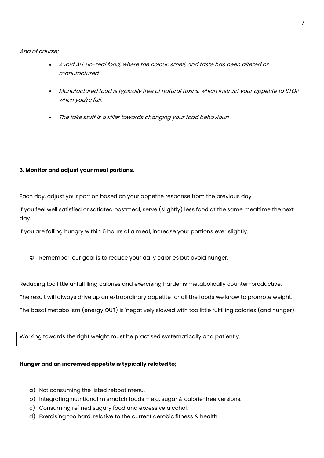And of course;

- Avoid ALL un-real food, where the colour, smell, and taste has been altered or manufactured.
- Manufactured food is typically free of natural toxins, which instruct your appetite to STOP when you're full.
- The fake stuff is a killer towards changing your food behaviour!

## 3. Monitor and adjust your meal portions.

Each day, adjust your portion based on your appetite response from the previous day.

If you feel well satisfied or satiated postmeal, serve (slightly) less food at the same mealtime the next day.

If you are falling hungry within 6 hours of a meal, increase your portions ever slightly.

Remember, our goal is to reduce your daily calories but avoid hunger.

Reducing too little unfulfilling calories and exercising harder is metabolically counter-productive.

The result will always drive up an extraordinary appetite for all the foods we know to promote weight.

The basal metabolism (energy OUT) is 'negatively slowed with too little fulfilling calories (and hunger).

Working towards the right weight must be practised systematically and patiently.

#### Hunger and an increased appetite is typically related to;

- a) Not consuming the listed reboot menu.
- b) Integrating nutritional mismatch foods e.g. sugar & calorie-free versions.
- c) Consuming refined sugary food and excessive alcohol.
- d) Exercising too hard, relative to the current aerobic fitness & health.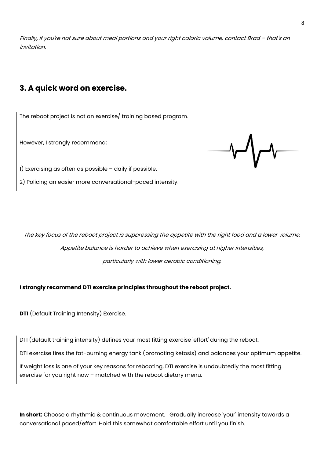Finally, if you're not sure about meal portions and your right caloric volume, contact Brad – that's an invitation.

# 3. A quick word on exercise.

The reboot project is not an exercise/ training based program.

However, I strongly recommend;

1) Exercising as often as possible – daily if possible.

2) Policing an easier more conversational-paced intensity.

The key focus of the reboot project is suppressing the appetite with the right food and a lower volume. Appetite balance is harder to achieve when exercising at higher intensities, particularly with lower aerobic conditioning.

I strongly recommend DTI exercise principles throughout the reboot project.

DTI (Default Training Intensity) Exercise.

DTI (default training intensity) defines your most fitting exercise 'effort' during the reboot.

DTI exercise fires the fat-burning energy tank (promoting ketosis) and balances your optimum appetite.

If weight loss is one of your key reasons for rebooting, DTI exercise is undoubtedly the most fitting exercise for you right now – matched with the reboot dietary menu.

In short: Choose a rhythmic & continuous movement. Gradually increase 'your' intensity towards a conversational paced/effort. Hold this somewhat comfortable effort until you finish.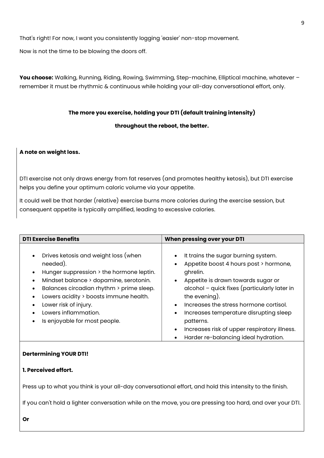That's right! For now, I want you consistently logging 'easier' non-stop movement.

Now is not the time to be blowing the doors off.

You choose: Walking, Running, Riding, Rowing, Swimming, Step-machine, Elliptical machine, whatever remember it must be rhythmic & continuous while holding your all-day conversational effort, only.

#### The more you exercise, holding your DTI (default training intensity)

#### throughout the reboot, the better.

## A note on weight loss.

DTI exercise not only draws energy from fat reserves (and promotes healthy ketosis), but DTI exercise helps you define your optimum caloric volume via your appetite.

It could well be that harder (relative) exercise burns more calories during the exercise session, but consequent appetite is typically amplified, leading to excessive calories.

| <b>DTI Exercise Benefits</b>                                                                                                                                                                                                                                                                                                                               | When pressing over your DTI                                                                                                                                                                                                                                                                                                                                                               |  |
|------------------------------------------------------------------------------------------------------------------------------------------------------------------------------------------------------------------------------------------------------------------------------------------------------------------------------------------------------------|-------------------------------------------------------------------------------------------------------------------------------------------------------------------------------------------------------------------------------------------------------------------------------------------------------------------------------------------------------------------------------------------|--|
| Drives ketosis and weight loss (when<br>$\bullet$<br>needed).<br>Hunger suppression > the hormone leptin.<br>$\bullet$<br>Mindset balance > dopamine, serotonin.<br>Balances circadian rhythm > prime sleep.<br>Lowers acidity > boosts immune health.<br>$\bullet$<br>Lower risk of injury.<br>Lowers inflammation.<br>Is enjoyable for most people.<br>٠ | It trains the sugar burning system.<br>Appetite boost 4 hours post > hormone,<br>ghrelin.<br>Appetite is drawn towards sugar or<br>alcohol - quick fixes (particularly later in<br>the evening).<br>Increases the stress hormone cortisol.<br>Increases temperature disrupting sleep<br>patterns.<br>Increases risk of upper respiratory illness.<br>Harder re-balancing ideal hydration. |  |

#### Dertermining YOUR DTI!

#### 1. Perceived effort.

Press up to what you think is your all-day conversational effort, and hold this intensity to the finish.

If you can't hold a lighter conversation while on the move, you are pressing too hard, and over your DTI.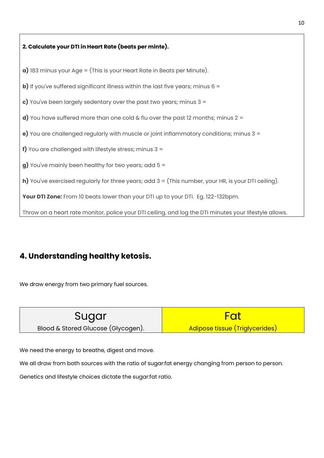# 2. Calculate your DTI in Heart Rate (beats per minte).  $a)$  183 minus your Age = (This is your Heart Rate in Beats per Minute). **b)** If you've suffered significant illness within the last five years; minus  $6 =$ c) You've been largely sedentary over the past two years; minus  $3 =$ d) You have suffered more than one cold & flu over the past 12 months; minus  $2 =$ e) You are challenged regularly with muscle or joint inflammatory conditions; minus 3 = f) You are challenged with lifestyle stress; minus  $3 =$  $g$ ) You've mainly been healthy for two years; add  $5 =$ h) You've exercised regularly for three years; add  $3 =$  (This number, your HR, is your DTI ceiling). Your DTI Zone: From 10 beats lower than your DTI up to your DTI. Eg. 122-132bpm. Throw on a heart rate monitor, police your DTI ceiling, and log the DTI minutes your lifestyle allows.

# 4. Understanding healthy ketosis.

We draw energy from two primary fuel sources.

| Sugar                              | Fat                            |
|------------------------------------|--------------------------------|
| Blood & Stored Glucose (Glycogen). | Adipose tissue (Triglycerides) |

We need the energy to breathe, digest and move.

We all draw from both sources with the ratio of sugar:fat energy changing from person to person.

Genetics and lifestyle choices dictate the sugar:fat ratio.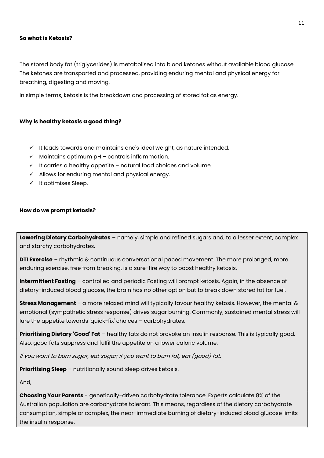#### So what is Ketosis?

The stored body fat (triglycerides) is metabolised into blood ketones without available blood glucose. The ketones are transported and processed, providing enduring mental and physical energy for breathing, digesting and moving.

In simple terms, ketosis is the breakdown and processing of stored fat as energy.

#### Why is healthy ketosis a good thing?

- $\checkmark$  It leads towards and maintains one's ideal weight, as nature intended.
- $\checkmark$  Maintains optimum pH controls inflammation.
- $\checkmark$  It carries a healthy appetite natural food choices and volume.
- $\checkmark$  Allows for enduring mental and physical energy.
- $\checkmark$  It optimises Sleep.

#### How do we prompt ketosis?

Lowering Dietary Carbohydrates – namely, simple and refined sugars and, to a lesser extent, complex and starchy carbohydrates.

**DTI Exercise** – rhythmic & continuous conversational paced movement. The more prolonged, more enduring exercise, free from breaking, is a sure-fire way to boost healthy ketosis.

Intermittent Fasting - controlled and periodic Fasting will prompt ketosis. Again, in the absence of dietary-induced blood glucose, the brain has no other option but to break down stored fat for fuel.

Stress Management – a more relaxed mind will typically favour healthy ketosis. However, the mental & emotional (sympathetic stress response) drives sugar burning. Commonly, sustained mental stress will lure the appetite towards 'quick-fix' choices – carbohydrates.

**Prioritising Dietary 'Good' Fat** – healthy fats do not provoke an insulin response. This is typically good. Also, good fats suppress and fulfil the appetite on a lower caloric volume.

If you want to burn sugar, eat sugar; if you want to burn fat, eat (good) fat.

**Prioritising Sleep** – nutritionally sound sleep drives ketosis.

And,

**Choosing Your Parents** - genetically-driven carbohydrate tolerance. Experts calculate 8% of the Australian population are carbohydrate tolerant. This means, regardless of the dietary carbohydrate consumption, simple or complex, the near-immediate burning of dietary-induced blood glucose limits the insulin response.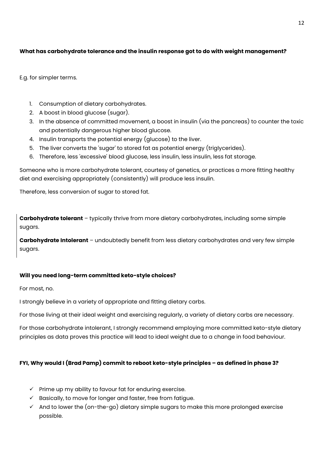# What has carbohydrate tolerance and the insulin response got to do with weight management?

E.g. for simpler terms.

- 1. Consumption of dietary carbohydrates.
- 2. A boost in blood glucose (sugar).
- 3. In the absence of committed movement, a boost in insulin (via the pancreas) to counter the toxic and potentially dangerous higher blood glucose.
- 4. Insulin transports the potential energy (glucose) to the liver.
- 5. The liver converts the 'sugar' to stored fat as potential energy (triglycerides).
- 6. Therefore, less 'excessive' blood glucose, less insulin, less insulin, less fat storage.

Someone who is more carbohydrate tolerant, courtesy of genetics, or practices a more fitting healthy diet and exercising appropriately (consistently) will produce less insulin.

Therefore, less conversion of sugar to stored fat.

**Carbohydrate tolerant** – typically thrive from more dietary carbohydrates, including some simple sugars.

**Carbohydrate Intolerant** – undoubtedly benefit from less dietary carbohydrates and very few simple sugars.

## Will you need long-term committed keto-style choices?

For most, no.

I strongly believe in a variety of appropriate and fitting dietary carbs.

For those living at their ideal weight and exercising regularly, a variety of dietary carbs are necessary.

For those carbohydrate intolerant, I strongly recommend employing more committed keto-style dietary principles as data proves this practice will lead to ideal weight due to a change in food behaviour.

## FYI, Why would I (Brad Pamp) commit to reboot keto-style principles – as defined in phase 3?

- $\checkmark$  Prime up my ability to favour fat for enduring exercise.
- $\checkmark$  Basically, to move for longer and faster, free from fatigue.
- $\checkmark$  And to lower the (on-the-go) dietary simple sugars to make this more prolonged exercise possible.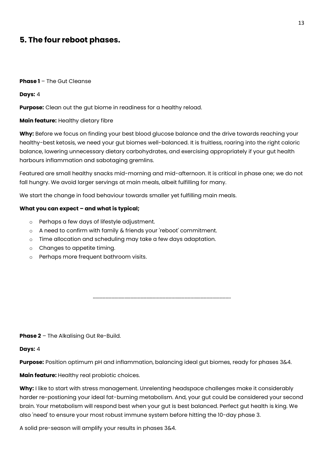# 5. The four reboot phases.

#### Phase 1 - The Gut Cleanse

Days: 4

**Purpose:** Clean out the gut biome in readiness for a healthy reload.

#### Main feature: Healthy dietary fibre

Why: Before we focus on finding your best blood glucose balance and the drive towards reaching your healthy-best ketosis, we need your gut biomes well-balanced. It is fruitless, roaring into the right caloric balance, lowering unnecessary dietary carbohydrates, and exercising appropriately if your gut health harbours inflammation and sabotaging gremlins.

Featured are small healthy snacks mid-morning and mid-afternoon. It is critical in phase one; we do not fall hungry. We avoid larger servings at main meals, albeit fulfilling for many.

We start the change in food behaviour towards smaller yet fulfilling main meals.

#### What you can expect – and what is typical;

- o Perhaps a few days of lifestyle adjustment.
- o A need to confirm with family & friends your 'reboot' commitment.
- o Time allocation and scheduling may take a few days adaptation.
- o Changes to appetite timing.
- o Perhaps more frequent bathroom visits.

Phase 2 - The Alkalising Gut Re-Build.

#### Days: 4

Purpose: Position optimum pH and inflammation, balancing ideal gut biomes, ready for phases 3&4.

…………………………………………………………………………………………………………………..

Main feature: Healthy real probiotic choices.

Why: I like to start with stress management. Unrelenting headspace challenges make it considerably harder re-postioning your ideal fat-burning metabolism. And, your gut could be considered your second brain. Your metabolism will respond best when your gut is best balanced. Perfect gut health is king. We also 'need' to ensure your most robust immune system before hitting the 10-day phase 3.

A solid pre-season will amplify your results in phases 3&4.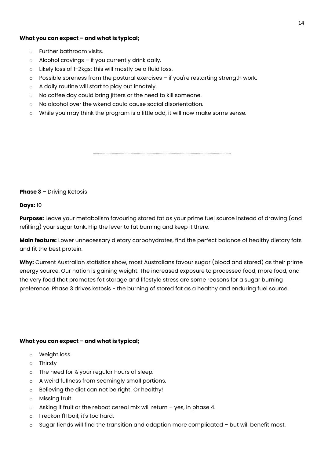#### What you can expect – and what is typical;

- o Further bathroom visits.
- $\circ$  Alcohol cravings if you currently drink daily.
- o Likely loss of 1-2kgs; this will mostly be a fluid loss.
- $\circ$  Possible soreness from the postural exercises if you're restarting strength work.
- o A daily routine will start to play out innately.
- o No coffee day could bring jitters or the need to kill someone.
- o No alcohol over the wkend could cause social disorientation.
- $\circ$  While you may think the program is a little odd, it will now make some sense.

**Phase 3** – Driving Ketosis

Days: 10

**Purpose:** Leave your metabolism favouring stored fat as your prime fuel source instead of drawing (and refilling) your sugar tank. Flip the lever to fat burning and keep it there.

…………………………………………………………………………………………………………………..

Main feature: Lower unnecessary dietary carbohydrates, find the perfect balance of healthy dietary fats and fit the best protein.

Why: Current Australian statistics show, most Australians favour sugar (blood and stored) as their prime energy source. Our nation is gaining weight. The increased exposure to processed food, more food, and the very food that promotes fat storage and lifestyle stress are some reasons for a sugar burning preference. Phase 3 drives ketosis - the burning of stored fat as a healthy and enduring fuel source.

#### What you can expect – and what is typical;

- o Weight loss.
- o Thirsty
- o The need for ½ your regular hours of sleep.
- o A weird fullness from seemingly small portions.
- o Believing the diet can not be right! Or healthy!
- o Missing fruit.
- o Asking if fruit or the reboot cereal mix will return yes, in phase 4.
- o I reckon I'll bail; it's too hard.
- o Sugar fiends will find the transition and adaption more complicated but will benefit most.